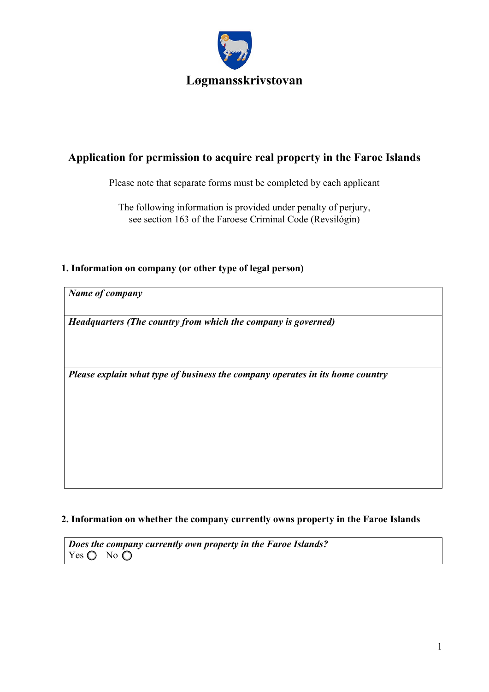

# **Application for permission to acquire real property in the Faroe Islands**

Please note that separate forms must be completed by each applicant

The following information is provided under penalty of perjury, see section 163 of the Faroese Criminal Code (Revsilógin)

### **1. Information on company (or other type of legal person)**

*Name of company* 

*Headquarters (The country from which the company is governed)* 

*Please explain what type of business the company operates in its home country* 

#### **2. Information on whether the company currently owns property in the Faroe Islands**

*Does the company currently own property in the Faroe Islands?*  Yes  $\bigcirc$  No  $\bigcirc$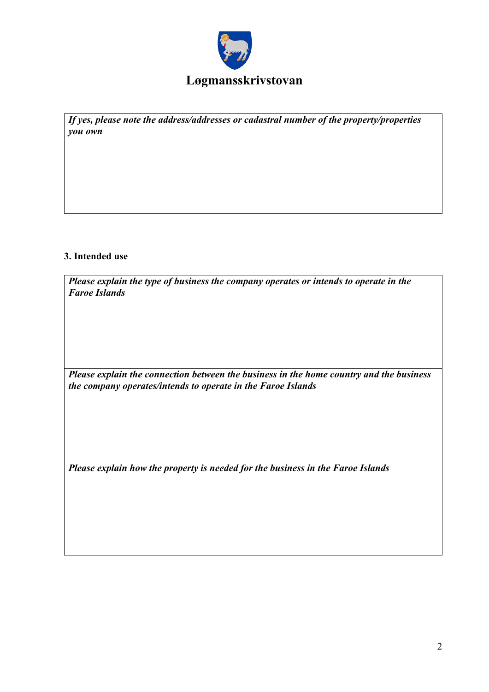

*If yes, please note the address/addresses or cadastral number of the property/properties you own* 

### **3. Intended use**

| Please explain the type of business the company operates or intends to operate in the |  |
|---------------------------------------------------------------------------------------|--|
| <b>Faroe Islands</b>                                                                  |  |

*Please explain the connection between the business in the home country and the business the company operates/intends to operate in the Faroe Islands* 

*Please explain how the property is needed for the business in the Faroe Islands*